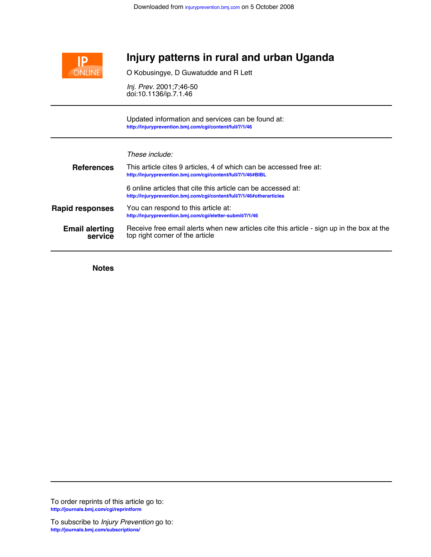

## **Injury patterns in rural and urban Uganda**

O Kobusingye, D Guwatudde and R Lett

doi:10.1136/ip.7.1.46 *Inj. Prev.* 2001;7;46-50

**<http://injuryprevention.bmj.com/cgi/content/full/7/1/46>** Updated information and services can be found at:

| These include: |  |
|----------------|--|
|                |  |

| <b>References</b>                | This article cites 9 articles, 4 of which can be accessed free at:<br>http://injuryprevention.bmj.com/cgi/content/full/7/1/46#BIBL    |
|----------------------------------|---------------------------------------------------------------------------------------------------------------------------------------|
|                                  | 6 online articles that cite this article can be accessed at:<br>http://injuryprevention.bmj.com/cqi/content/full/7/1/46#otherarticles |
| <b>Rapid responses</b>           | You can respond to this article at:<br>http://injuryprevention.bmj.com/cqi/eletter-submit/7/1/46                                      |
| <b>Email alerting</b><br>service | Receive free email alerts when new articles cite this article - sign up in the box at the<br>top right corner of the article          |

**Notes**

**<http://journals.bmj.com/cgi/reprintform>** To order reprints of this article go to: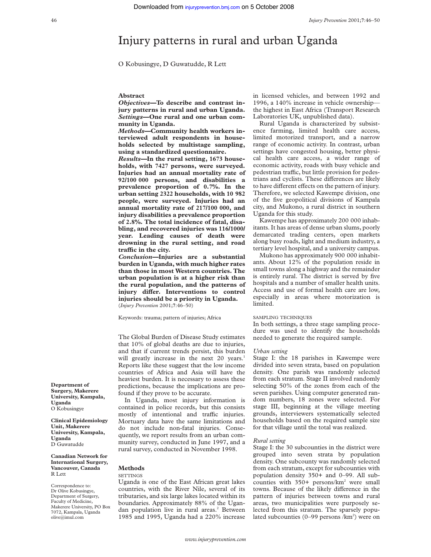# Injury patterns in rural and urban Uganda

O Kobusingye, D Guwatudde, R Lett

## **Abstract**

*Objectives—***To describe and contrast injury patterns in rural and urban Uganda.** *Settings***—One rural and one urban community in Uganda.**

*Methods***—Community health workers interviewed adult respondents in households selected by multistage sampling, using a standardized questionnaire.**

*Results—***In the rural setting, 1673 households, with 7427 persons, were surveyed. Injuries had an annual mortality rate of 92/100 000 persons, and disabilities a prevalence proportion of 0.7%. In the urban setting 2322 households, with 10 982 people, were surveyed. Injuries had an annual mortality rate of 217/100 000, and injury disabilities a prevalence proportion of 2.8%. The total incidence of fatal, disabling, and recovered injuries was 116/1000/ year. Leading causes of death were drowning in the rural setting, and road traYc in the city.**

*Conclusion—***Injuries are a substantial burden in Uganda, with much higher rates than those in most Western countries. The urban population is at a higher risk than the rural population, and the patterns of** injury differ. Interventions to control **injuries should be a priority in Uganda.** (*Injury Prevention* 2001;**7**:46–50)

Keywords: trauma; pattern of injuries; Africa

The Global Burden of Disease Study estimates that 10% of global deaths are due to injuries, and that if current trends persist, this burden will greatly increase in the next 20 years.<sup>1</sup> Reports like these suggest that the low income countries of Africa and Asia will have the heaviest burden. It is necessary to assess these predictions, because the implications are profound if they prove to be accurate.

In Uganda, most injury information is contained in police records, but this consists mostly of intentional and traffic injuries. Mortuary data have the same limitations and do not include non-fatal injuries. Consequently, we report results from an urban community survey, conducted in June 1997, and a rural survey, conducted in November 1998.

## **Methods**

## **SETTINGS**

Uganda is one of the East African great lakes countries, with the River Nile, several of its tributaries, and six large lakes located within its boundaries. Approximately 88% of the Ugandan population live in rural areas.<sup>2</sup> Between 1985 and 1995, Uganda had a 220% increase in licensed vehicles, and between 1992 and 1996, a 140% increase in vehicle ownership the highest in East Africa (Transport Research Laboratories UK, unpublished data).

Rural Uganda is characterized by subsistence farming, limited health care access, limited motorized transport, and a narrow range of economic activity. In contrast, urban settings have congested housing, better physical health care access, a wider range of economic activity, roads with busy vehicle and pedestrian traffic, but little provision for pedestrians and cyclists. These differences are likely to have different effects on the pattern of injury. Therefore, we selected Kawempe division, one of the five geopolitical divisions of Kampala city, and Mukono, a rural district in southern Uganda for this study.

Kawempe has approximately 200 000 inhabitants. It has areas of dense urban slums, poorly demarcated trading centers, open markets along busy roads, light and medium industry, a tertiary level hospital, and a university campus.

Mukono has approximately 900 000 inhabitants. About 12% of the population reside in small towns along a highway and the remainder is entirely rural. The district is served by five hospitals and a number of smaller health units. Access and use of formal health care are low, especially in areas where motorization is limited.

## SAMPLING TECHNIQUES

In both settings, a three stage sampling procedure was used to identify the households needed to generate the required sample.

### *Urban setting*

Stage I: the 18 parishes in Kawempe were divided into seven strata, based on population density. One parish was randomly selected from each stratum. Stage II involved randomly selecting 50% of the zones from each of the seven parishes. Using computer generated random numbers, 18 zones were selected. For stage III, beginning at the village meeting grounds, interviewers systematically selected households based on the required sample size for that village until the total was realized.

## *Rural setting*

Stage I: the 30 subcounties in the district were grouped into seven strata by population density. One subcounty was randomly selected from each stratum, except for subcounties with population density 350+ and 0–99. All subcounties with  $350+$  persons/km<sup>2</sup> were small towns. Because of the likely difference in the pattern of injuries between towns and rural areas, two municipalities were purposely selected from this stratum. The sparsely populated subcounties (0–99 persons /km<sup>2</sup>) were on

**Department of Surgery, Makerere University, Kampala, Uganda** O Kobusingye

**Clinical Epidemiology Unit, Makerere University, Kampala, Uganda** D Guwatudde

**Canadian Network for International Surgery, Vancouver, Canada** R Lett

Correspondence to: Dr Olive Kobusingye, Department of Surgery, Faculty of Medicine, Makerere University, PO Box 7072, Kampala, Uganda olive@imul.com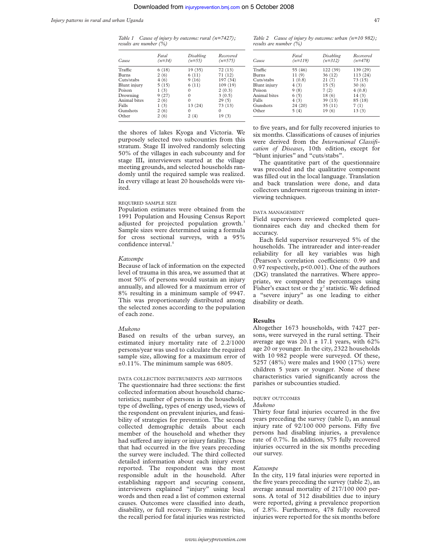*Table 1 Cause of injury by outcome: rural (n=7427); results are number (%)*

| Cause        | Fatal<br>$(n=34)$ | Disabling<br>$(n=55)$ | Recovered<br>$(n=575)$ |
|--------------|-------------------|-----------------------|------------------------|
| Traffic      | 6(18)             | 19 (35)               | 72 (13)                |
| <b>Burns</b> | 2(6)              | 6(11)                 | 71 (12)                |
| Cuts/stabs   | 4(6)              | 9(16)                 | 197 (34)               |
| Blunt injury | 5(15)             | 6(11)                 | 109 (19)               |
| Poison       | 1(3)              | 0                     | 2(0.3)                 |
| Drowning     | 9(27)             | $\Omega$              | 3(0.5)                 |
| Animal bites | 2(6)              | $\Omega$              | 29(5)                  |
| Falls        | 1(3)              | 13 (24)               | 73 (13)                |
| Gunshots     | 2(6)              | 0                     | 0                      |
| Other        | 2(6)              | 2(4)                  | 19(3)                  |

the shores of lakes Kyoga and Victoria. We purposely selected two subcounties from this stratum. Stage II involved randomly selecting 50% of the villages in each subcounty and for stage III, interviewers started at the village meeting grounds, and selected households randomly until the required sample was realized. In every village at least 20 households were visited.

## REQUIRED SAMPLE SIZE

Population estimates were obtained from the 1991 Population and Housing Census Report adjusted for projected population growth.<sup>3</sup> Sample sizes were determined using a formula for cross sectional surveys, with a 95% confidence interval.<sup>4</sup>

#### *Kawempe*

Because of lack of information on the expected level of trauma in this area, we assumed that at most 50% of persons would sustain an injury annually, and allowed for a maximum error of 8% resulting in a minimum sample of 9947. This was proportionately distributed among the selected zones according to the population of each zone.

## *Mukono*

Based on results of the urban survey, an estimated injury mortality rate of 2.2/1000 persons/year was used to calculate the required sample size, allowing for a maximum error of ±0.11%. The minimum sample was 6805.

## DATA COLLECTION INSTRUMENTS AND METHODS

The questionnaire had three sections: the first collected information about household characteristics; number of persons in the household, type of dwelling, types of energy used, views of the respondent on prevalent injuries, and feasibility of strategies for prevention. The second collected demographic details about each member of the household and whether they had suffered any injury or injury fatality. Those that had occurred in the five years preceding the survey were included. The third collected detailed information about each injury event reported. The respondent was the most responsible adult in the household. After establishing rapport and securing consent, interviewers explained "injury" using local words and then read a list of common external causes. Outcomes were classified into death, disability, or full recovery. To minimize bias, the recall period for fatal injuries was restricted

*Table 2 Cause of injury by outcome: urban (n=10 982); results are number (%)*

| Cause        | Fatal<br>$(n=119)$ | Disabling<br>$(n=312)$ | Recovered<br>$(n=478)$ |
|--------------|--------------------|------------------------|------------------------|
| Traffic      | 55 (46)            | 122 (39)               | 139 (29)               |
| <b>Burns</b> | 11(9)              | 36(12)                 | 113 (24)               |
| Cuts/stabs   | 1(0.8)             | 21(7)                  | 73(15)                 |
| Blunt injury | 4(3)               | 15(5)                  | 30(6)                  |
| Poison       | 9(8)               | 7(2)                   | 4(0.8)                 |
| Animal bites | 6(5)               | 18(6)                  | 14(3)                  |
| Falls        | 4(3)               | 39 (13)                | 85 (18)                |
| Gunshots     | 24 (20)            | 35(11)                 | 7(1)                   |
| Other        | 5(4)               | 19 (6)                 | 13(3)                  |

to five years, and for fully recovered injuries to six months. Classifications of causes of injuries were derived from the *International Classification of Diseases*, 10th edition, except for "blunt injuries" and "cuts/stabs".

The quantitative part of the questionnaire was precoded and the qualitative component was filled out in the local language. Translation and back translation were done, and data collectors underwent rigorous training in interviewing techniques.

#### DATA MANAGEMENT

Field supervisors reviewed completed questionnaires each day and checked them for accuracy.

Each field supervisor resurveyed 5% of the households. The intrareader and inter-reader reliability for all key variables was high (Pearson's correlation coefficients: 0.99 and 0.97 respectively, p<0.001). One of the authors (DG) translated the narratives. Where appropriate, we compared the percentages using Fisher's exact test or the  $\chi^2$  statistic. We defined a "severe injury" as one leading to either disability or death.

### **Results**

Altogether 1673 households, with 7427 persons, were surveyed in the rural setting. Their average age was  $20.1 \pm 17.1$  years, with 62% age 20 or younger. In the city, 2322 households with 10 982 people were surveyed. Of these, 5257 (48%) were males and 1900 (17%) were children 5 years or younger. None of these characteristics varied significantly across the parishes or subcounties studied.

### INJURY OUTCOMES

## *Mukono*

Thirty four fatal injuries occurred in the five years preceding the survey (table l), an annual injury rate of 92/100 000 persons. Fifty five persons had disabling injuries, a prevalence rate of 0.7%. In addition, 575 fully recovered injuries occurred in the six months preceding our survey.

#### *Kawempe*

In the city, 119 fatal injuries were reported in the five years preceding the survey (table 2), an average annual mortality of 217/100 000 persons. A total of 312 disabilities due to injury were reported, giving a prevalence proportion of 2.8%. Furthermore, 478 fully recovered injuries were reported for the six months before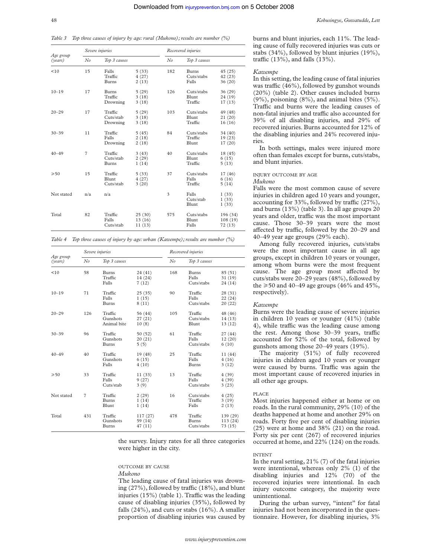*Table 3 Top three causes of injury by age: rural (Mukono); results are number (%)*

|                      |                | Severe injuries                  |                            |     | Recovered injuries                  |                                |  |
|----------------------|----------------|----------------------------------|----------------------------|-----|-------------------------------------|--------------------------------|--|
| Age group<br>(years) | No             | Top 3 causes                     |                            | No  | Top 3 causes                        |                                |  |
| < 10                 | 15             | Falls<br>Traffic<br><b>Burns</b> | 5(33)<br>4(27)<br>2(13)    | 182 | <b>Burns</b><br>Cuts/stabs<br>Falls | 45(25)<br>42 (23)<br>36 (20)   |  |
| $10 - 19$            | 17             | Burns<br>Traffic<br>Drowning     | 5(29)<br>3(18)<br>3(18)    | 126 | Cuts/stabs<br>Blunt<br>Traffic      | 36 (29)<br>24 (19)<br>17(13)   |  |
| $20 - 29$            | 17             | Traffic<br>Cuts/stab<br>Drowning | 5(29)<br>3(18)<br>3(18)    | 103 | Cuts/stabs<br>Blunt<br>Traffic      | 49 (48)<br>21(20)<br>16(16)    |  |
| $30 - 39$            | 11             | Traffic<br>Falls<br>Drowning     | 5(45)<br>2(18)<br>2(18)    | 84  | Cuts/stabs<br>Traffic<br>Blunt      | 34 (40)<br>19(23)<br>17(20)    |  |
| $40 - 49$            | $\overline{7}$ | Traffic<br>Cuts/stab<br>Burns    | 3(43)<br>2(29)<br>1(14)    | 40  | Cuts/stabs<br>Blunt<br>Traffic      | 18 (45)<br>6(15)<br>5(13)      |  |
| $\geqslant 50$       | 15             | Traffic<br>Blunt<br>Cuts/stab    | 5(33)<br>4(27)<br>3(20)    | 37  | Cuts/stabs<br>Falls<br>Traffic      | 17 (46)<br>6(16)<br>5(14)      |  |
| Not stated           | n/a            | n/a                              |                            | 3   | Falls<br>Cuts/stab<br>Blunt         | 1(33)<br>1(33)<br>1(33)        |  |
| Total                | 82             | Traffic<br>Falls<br>Cuts/stab    | 25(30)<br>13(16)<br>11(13) | 575 | Cuts/stabs<br>Blunt<br>Falls        | 196 (34)<br>108 (19)<br>72(13) |  |

*Table 4 Top three causes of injury by age: urban (Kawempe); results are number (%)*

|                                        |                | Severe injuries                     |                               |     | Recovered injuries                    |                                 |  |
|----------------------------------------|----------------|-------------------------------------|-------------------------------|-----|---------------------------------------|---------------------------------|--|
| Age group<br>No<br>(years)<br>58<br>10 |                | Top 3 causes                        |                               | No  | Top 3 causes                          |                                 |  |
|                                        |                | <b>Burns</b><br>Traffic<br>Falls    | 24 (41)<br>14 (24)<br>7(12)   | 168 | <b>Burns</b><br>Falls<br>Cuts/stabs   | 85(51)<br>31 (19)<br>24 (14)    |  |
| $10 - 19$                              | 71             | Traffic<br>Falls<br><b>Burns</b>    | 25(35)<br>1(15)<br>8(11)      | 90  | Traffic<br>Falls<br>Cuts/stabs        | 28 (31)<br>22(24)<br>20(22)     |  |
| $20 - 29$                              | 126            | Traffic<br>Gunshots<br>Animal bite  | 56 (44)<br>27(21)<br>10(8)    | 105 | Traffic<br>Cuts/stabs<br>Blunt        | 48 (46)<br>14 (13)<br>13(12)    |  |
| $30 - 39$                              | 96             | Traffic<br>Gunshots<br><b>Burns</b> | 50 (52)<br>20(21)<br>5(5)     | 61  | Traffic<br>Falls<br>Cuts/stabs        | 27 (44)<br>12(20)<br>6(10)      |  |
| $40 - 49$                              | 40             | Traffic<br>Gunshots<br>Falls        | 19 (48)<br>6(15)<br>4(10)     | 25  | Traffic<br>Falls<br><b>Burns</b>      | 11 (44)<br>4(16)<br>3(12)       |  |
| $\geqslant 50$                         | 33             | Traffic<br>Falls<br>Cuts/stab       | 11(33)<br>9(27)<br>3(9)       | 13  | Traffic<br>Falls<br>Cuts/stabs        | 4(39)<br>4(39)<br>3(23)         |  |
| Not stated                             | $\overline{7}$ | Traffic<br><b>Burns</b><br>Blunt    | 2(29)<br>1(14)<br>1(14)       | 16  | Cuts/stabs<br>Traffic<br>Falls        | 4(25)<br>3(19)<br>2(13)         |  |
| Total                                  | 431            | Traffic<br>Gunshots<br><b>Burns</b> | 117(27)<br>59 (14)<br>47 (11) | 478 | Traffic<br><b>Burns</b><br>Cuts/stabs | 139 (29)<br>113 (24)<br>73 (15) |  |

the survey. Injury rates for all three categories were higher in the city.

## OUTCOME BY CAUSE

*Mukono*

The leading cause of fatal injuries was drowning  $(27\%)$ , followed by traffic  $(18\%)$ , and blunt injuries  $(15%)$  (table 1). Traffic was the leading cause of disabling injuries (35%), followed by falls (24%), and cuts or stabs (16%). A smaller proportion of disabling injuries was caused by

#### *Kawempe*

In this setting, the leading cause of fatal injuries was traffic (46%), followed by gunshot wounds (20%) (table 2). Other causes included burns (9%), poisoning (8%), and animal bites (5%). Traffic and burns were the leading causes of non-fatal injuries and traffic also accounted for 39% of all disabling injuries, and 29% of recovered injuries. Burns accounted for 12% of the disabling injuries and 24% recovered injuries.

In both settings, males were injured more often than females except for burns, cuts/stabs, and blunt injuries.

## INJURY OUTCOME BY AGE

## *Mukono*

Falls were the most common cause of severe injuries in children aged 10 years and younger, accounting for  $33\%$ , followed by traffic  $(27\%)$ , and burns (13%) (table 3). In all age groups 20 years and older, traffic was the most important cause. Those 30–39 years were the most affected by traffic, followed by the 20–29 and 40–49 year age groups (29% each).

Among fully recovered injuries, cuts/stabs were the most important cause in all age groups, except in children 10 years or younger, among whom burns were the most frequent cause. The age group most affected by cuts/stabs were 20–29 years (48%), followed by the  $\geq 50$  and 40–49 age groups (46% and 45%, respectively).

#### *Kawempe*

Burns were the leading cause of severe injuries in children 10 years or younger (41%) (table 4), while traffic was the leading cause among the rest. Among those  $30-39$  years, traffic accounted for 52% of the total, followed by gunshots among those 20–49 years (19%).

The majority (51%) of fully recovered injuries in children aged 10 years or younger were caused by burns. Traffic was again the most important cause of recovered injuries in all other age groups.

## PLACE

Most injuries happened either at home or on roads. In the rural community, 29% (10) of the deaths happened at home and another 29% on roads. Forty five per cent of disabling injuries (25) were at home and 38% (21) on the road. Forty six per cent (267) of recovered injuries occurred at home, and 22% (124) on the roads.

#### INTENT

In the rural setting, 21% (7) of the fatal injuries were intentional, whereas only 2% (1) of the disabling injuries and 12% (70) of the recovered injuries were intentional. In each injury outcome category, the majority were unintentional.

During the urban survey, "intent" for fatal injuries had not been incorporated in the questionnaire. However, for disabling injuries, 3%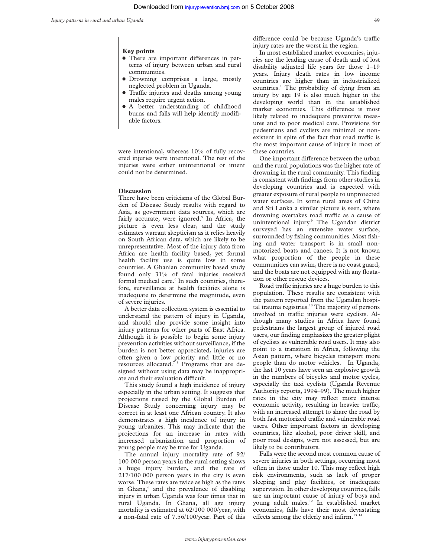#### **Key points**

- There are important differences in patterns of injury between urban and rural communities.
- Drowning comprises a large, mostly neglected problem in Uganda.
- Traffic injuries and deaths among young males require urgent action.
- A better understanding of childhood burns and falls will help identify modifiable factors.

were intentional, whereas 10% of fully recovered injuries were intentional. The rest of the injuries were either unintentional or intent could not be determined.

### **Discussion**

There have been criticisms of the Global Burden of Disease Study results with regard to Asia, as government data sources, which are fairly accurate, were ignored.<sup>5</sup> In Africa, the picture is even less clear, and the study estimates warrant skepticism as it relies heavily on South African data, which are likely to be unrepresentative. Most of the injury data from Africa are health facility based, yet formal health facility use is quite low in some countries. A Ghanian community based study found only 31% of fatal injuries received formal medical care.<sup>6</sup> In such countries, therefore, surveillance at health facilities alone is inadequate to determine the magnitude, even of severe injuries.

A better data collection system is essential to understand the pattern of injury in Uganda, and should also provide some insight into injury patterns for other parts of East Africa. Although it is possible to begin some injury prevention activities without surveillance, if the burden is not better appreciated, injuries are often given a low priority and little or no resources allocated.7 8 Programs that are designed without using data may be inappropriate and their evaluation difficult.

This study found a high incidence of injury especially in the urban setting. It suggests that projections raised by the Global Burden of Disease Study concerning injury may be correct in at least one African country. It also demonstrates a high incidence of injury in young urbanites. This may indicate that the projections for an increase in rates with increased urbanization and proportion of young people may be true for Uganda.

The annual injury mortality rate of 92/ 100 000 person years in the rural setting shows a huge injury burden, and the rate of 217/100 000 person years in the city is even worse. These rates are twice as high as the rates in Ghana,<sup>6</sup> and the prevalence of disabling injury in urban Uganda was four times that in rural Uganda. In Ghana, all age injury mortality is estimated at 62/100 000/year, with a non-fatal rate of 7.56/100/year. Part of this

difference could be because Uganda's traffic injury rates are the worst in the region.

In most established market economies, injuries are the leading cause of death and of lost disability adjusted life years for those 1–19 years. Injury death rates in low income countries are higher than in industrialized countries.1 The probability of dying from an injury by age 19 is also much higher in the developing world than in the established market economies. This difference is most likely related to inadequate preventive measures and to poor medical care. Provisions for pedestrians and cyclists are minimal or nonexistent in spite of the fact that road traffic is the most important cause of injury in most of these countries.

One important difference between the urban and the rural populations was the higher rate of drowning in the rural community. This finding is consistent with findings from other studies in developing countries and is expected with greater exposure of rural people to unprotected water surfaces. In some rural areas of China and Sri Lanka a similar picture is seen, where drowning overtakes road traffic as a cause of unintentional injury.<sup>9</sup> The Ugandan district surveyed has an extensive water surface, surrounded by fishing communities. Most fishing and water transport is in small nonmotorized boats and canoes. It is not known what proportion of the people in these communities can swim, there is no coast guard, and the boats are not equipped with any floatation or other rescue devices.

Road traffic injuries are a huge burden to this population. These results are consistent with the pattern reported from the Ugandan hospital trauma registries. $10$  The majority of persons involved in traffic injuries were cyclists. Although many studies in Africa have found pedestrians the largest group of injured road users, our finding emphasizes the greater plight of cyclists as vulnerable road users. It may also point to a transition in Africa, following the Asian pattern, where bicycles transport more people than do motor vehicles.<sup>11</sup> In Uganda, the last 10 years have seen an explosive growth in the numbers of bicycles and motor cycles, especially the taxi cyclists (Uganda Revenue Authority reports, 1994–99). The much higher rates in the city may reflect more intense economic activity, resulting in heavier traffic, with an increased attempt to share the road by both fast motorized traffic and vulnerable road users. Other important factors in developing countries, like alcohol, poor driver skill, and poor road designs, were not assessed, but are likely to be contributors.

Falls were the second most common cause of severe injuries in both settings, occurring most often in those under 10. This may reflect high risk environments, such as lack of proper sleeping and play facilities, or inadequate supervision. In other developing countries, falls are an important cause of injury of boys and young adult males.12 In established market economies, falls have their most devastating effects among the elderly and infirm.<sup>13 1</sup>